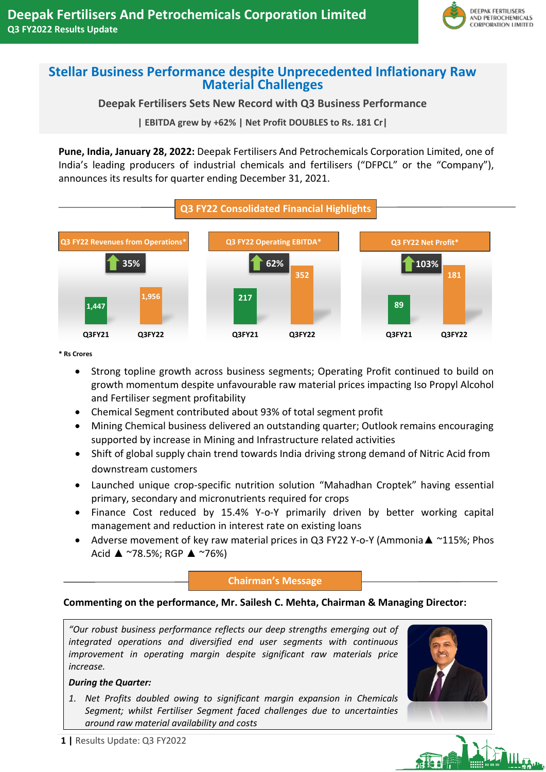

## **Stellar Business Performance despite Unprecedented Inflationary Raw Material Challenges**

## **Deepak Fertilisers Sets New Record with Q3 Business Performance**

**| EBITDA grew by +62% | Net Profit DOUBLES to Rs. 181 Cr|**

**Pune, India, January 28, 2022:** Deepak Fertilisers And Petrochemicals Corporation Limited, one of India's leading producers of industrial chemicals and fertilisers ("DFPCL" or the "Company"), announces its results for quarter ending December 31, 2021.



**\* Rs Crores**

- Strong topline growth across business segments; Operating Profit continued to build on growth momentum despite unfavourable raw material prices impacting Iso Propyl Alcohol and Fertiliser segment profitability
- Chemical Segment contributed about 93% of total segment profit
- Mining Chemical business delivered an outstanding quarter; Outlook remains encouraging supported by increase in Mining and Infrastructure related activities
- Shift of global supply chain trend towards India driving strong demand of Nitric Acid from downstream customers
- Launched unique crop-specific nutrition solution "Mahadhan Croptek" having essential primary, secondary and micronutrients required for crops
- Finance Cost reduced by 15.4% Y-o-Y primarily driven by better working capital management and reduction in interest rate on existing loans
- Adverse movement of key raw material prices in Q3 FY22 Y-o-Y (Ammonia▲ ~115%; Phos Acid  $\triangle$  ~78.5%; RGP  $\triangle$  ~76%)

#### **Chairman's Message**

### **Commenting on the performance, Mr. Sailesh C. Mehta, Chairman & Managing Director:**

*"Our robust business performance reflects our deep strengths emerging out of integrated operations and diversified end user segments with continuous improvement in operating margin despite significant raw materials price increase.*

#### *During the Quarter:*

*1. Net Profits doubled owing to significant margin expansion in Chemicals Segment; whilst Fertiliser Segment faced challenges due to uncertainties around raw material availability and costs* 



# THE A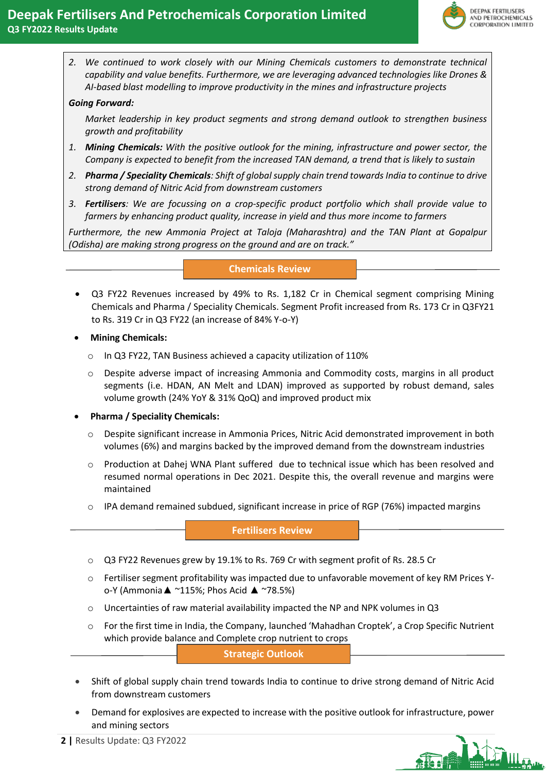

*2. We continued to work closely with our Mining Chemicals customers to demonstrate technical capability and value benefits. Furthermore, we are leveraging advanced technologies like Drones & AI-based blast modelling to improve productivity in the mines and infrastructure projects*

#### *Going Forward:*

*Market leadership in key product segments and strong demand outlook to strengthen business growth and profitability*

- *1. Mining Chemicals: With the positive outlook for the mining, infrastructure and power sector, the Company is expected to benefit from the increased TAN demand, a trend that is likely to sustain*
- *2. Pharma / Speciality Chemicals: Shift of global supply chain trend towards India to continue to drive strong demand of Nitric Acid from downstream customers*
- *3. Fertilisers: We are focussing on a crop-specific product portfolio which shall provide value to farmers by enhancing product quality, increase in yield and thus more income to farmers*

*Furthermore, the new Ammonia Project at Taloja (Maharashtra) and the TAN Plant at Gopalpur (Odisha) are making strong progress on the ground and are on track."*

#### **Chemicals Review**

- Q3 FY22 Revenues increased by 49% to Rs. 1,182 Cr in Chemical segment comprising Mining Chemicals and Pharma / Speciality Chemicals. Segment Profit increased from Rs. 173 Cr in Q3FY21 to Rs. 319 Cr in Q3 FY22 (an increase of 84% Y-o-Y)
- **Mining Chemicals:** 
	- o In Q3 FY22, TAN Business achieved a capacity utilization of 110%
	- o Despite adverse impact of increasing Ammonia and Commodity costs, margins in all product segments (i.e. HDAN, AN Melt and LDAN) improved as supported by robust demand, sales volume growth (24% YoY & 31% QoQ) and improved product mix
- **Pharma / Speciality Chemicals:** 
	- o Despite significant increase in Ammonia Prices, Nitric Acid demonstrated improvement in both volumes (6%) and margins backed by the improved demand from the downstream industries
	- o Production at Dahej WNA Plant suffered due to technical issue which has been resolved and resumed normal operations in Dec 2021. Despite this, the overall revenue and margins were maintained
	- $\circ$  IPA demand remained subdued, significant increase in price of RGP (76%) impacted margins

**Fertilisers Review**

- o Q3 FY22 Revenues grew by 19.1% to Rs. 769 Cr with segment profit of Rs. 28.5 Cr
- o Fertiliser segment profitability was impacted due to unfavorable movement of key RM Prices Yo-Y (Ammonia▲ ~115%; Phos Acid ▲ ~78.5%)
- $\circ$  Uncertainties of raw material availability impacted the NP and NPK volumes in Q3
- o For the first time in India, the Company, launched 'Mahadhan Croptek', a Crop Specific Nutrient which provide balance and Complete crop nutrient to crops

**Strategic Outlook**

- Shift of global supply chain trend towards India to continue to drive strong demand of Nitric Acid from downstream customers
- Demand for explosives are expected to increase with the positive outlook for infrastructure, power and mining sectors